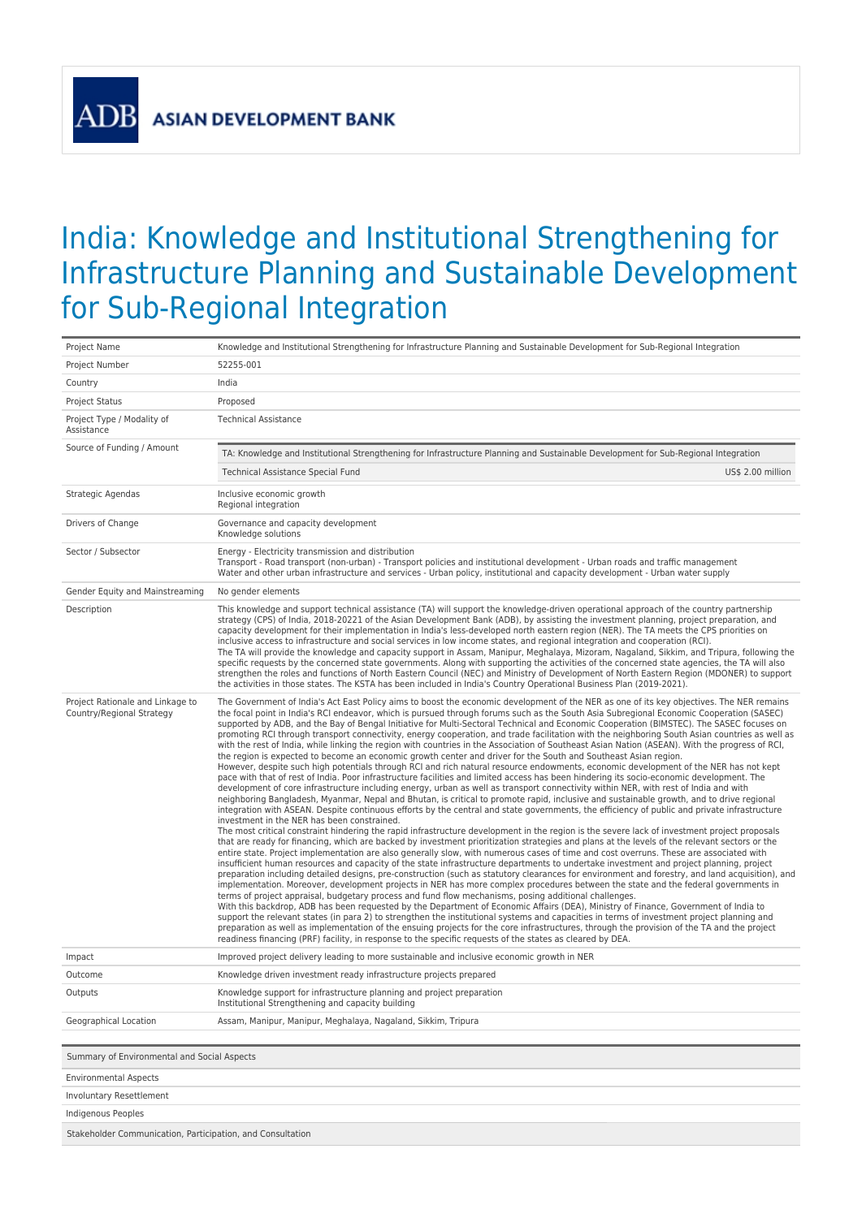## India: Knowledge and Institutional Strengthening for Infrastructure Planning and Sustainable Development for Sub-Regional Integration

| Project Name                                                  | Knowledge and Institutional Strengthening for Infrastructure Planning and Sustainable Development for Sub-Regional Integration                                                                                                                                                                                                                                                                                                                                                                                                                                                                                                                                                                                                                                                                                                                                                                                                                                                                                                                                                                                                                                                                                                                                                                                                                                                                                                                                                                                                                                                                                                                                                                                                                                                                                                                                                                                                                                                                                                                                                                                                                                                                                                                                                                                                                                                                                                                                                                                                                                                                                                                                                                                                                                                                                                                                                                                                                                                                                                                                                                                                                                             |  |  |
|---------------------------------------------------------------|----------------------------------------------------------------------------------------------------------------------------------------------------------------------------------------------------------------------------------------------------------------------------------------------------------------------------------------------------------------------------------------------------------------------------------------------------------------------------------------------------------------------------------------------------------------------------------------------------------------------------------------------------------------------------------------------------------------------------------------------------------------------------------------------------------------------------------------------------------------------------------------------------------------------------------------------------------------------------------------------------------------------------------------------------------------------------------------------------------------------------------------------------------------------------------------------------------------------------------------------------------------------------------------------------------------------------------------------------------------------------------------------------------------------------------------------------------------------------------------------------------------------------------------------------------------------------------------------------------------------------------------------------------------------------------------------------------------------------------------------------------------------------------------------------------------------------------------------------------------------------------------------------------------------------------------------------------------------------------------------------------------------------------------------------------------------------------------------------------------------------------------------------------------------------------------------------------------------------------------------------------------------------------------------------------------------------------------------------------------------------------------------------------------------------------------------------------------------------------------------------------------------------------------------------------------------------------------------------------------------------------------------------------------------------------------------------------------------------------------------------------------------------------------------------------------------------------------------------------------------------------------------------------------------------------------------------------------------------------------------------------------------------------------------------------------------------------------------------------------------------------------------------------------------------|--|--|
| Project Number                                                | 52255-001                                                                                                                                                                                                                                                                                                                                                                                                                                                                                                                                                                                                                                                                                                                                                                                                                                                                                                                                                                                                                                                                                                                                                                                                                                                                                                                                                                                                                                                                                                                                                                                                                                                                                                                                                                                                                                                                                                                                                                                                                                                                                                                                                                                                                                                                                                                                                                                                                                                                                                                                                                                                                                                                                                                                                                                                                                                                                                                                                                                                                                                                                                                                                                  |  |  |
| Country                                                       | India                                                                                                                                                                                                                                                                                                                                                                                                                                                                                                                                                                                                                                                                                                                                                                                                                                                                                                                                                                                                                                                                                                                                                                                                                                                                                                                                                                                                                                                                                                                                                                                                                                                                                                                                                                                                                                                                                                                                                                                                                                                                                                                                                                                                                                                                                                                                                                                                                                                                                                                                                                                                                                                                                                                                                                                                                                                                                                                                                                                                                                                                                                                                                                      |  |  |
| <b>Project Status</b>                                         | Proposed                                                                                                                                                                                                                                                                                                                                                                                                                                                                                                                                                                                                                                                                                                                                                                                                                                                                                                                                                                                                                                                                                                                                                                                                                                                                                                                                                                                                                                                                                                                                                                                                                                                                                                                                                                                                                                                                                                                                                                                                                                                                                                                                                                                                                                                                                                                                                                                                                                                                                                                                                                                                                                                                                                                                                                                                                                                                                                                                                                                                                                                                                                                                                                   |  |  |
| Project Type / Modality of<br>Assistance                      | <b>Technical Assistance</b>                                                                                                                                                                                                                                                                                                                                                                                                                                                                                                                                                                                                                                                                                                                                                                                                                                                                                                                                                                                                                                                                                                                                                                                                                                                                                                                                                                                                                                                                                                                                                                                                                                                                                                                                                                                                                                                                                                                                                                                                                                                                                                                                                                                                                                                                                                                                                                                                                                                                                                                                                                                                                                                                                                                                                                                                                                                                                                                                                                                                                                                                                                                                                |  |  |
| Source of Funding / Amount                                    | TA: Knowledge and Institutional Strengthening for Infrastructure Planning and Sustainable Development for Sub-Regional Integration                                                                                                                                                                                                                                                                                                                                                                                                                                                                                                                                                                                                                                                                                                                                                                                                                                                                                                                                                                                                                                                                                                                                                                                                                                                                                                                                                                                                                                                                                                                                                                                                                                                                                                                                                                                                                                                                                                                                                                                                                                                                                                                                                                                                                                                                                                                                                                                                                                                                                                                                                                                                                                                                                                                                                                                                                                                                                                                                                                                                                                         |  |  |
|                                                               | Technical Assistance Special Fund<br>US\$ 2.00 million                                                                                                                                                                                                                                                                                                                                                                                                                                                                                                                                                                                                                                                                                                                                                                                                                                                                                                                                                                                                                                                                                                                                                                                                                                                                                                                                                                                                                                                                                                                                                                                                                                                                                                                                                                                                                                                                                                                                                                                                                                                                                                                                                                                                                                                                                                                                                                                                                                                                                                                                                                                                                                                                                                                                                                                                                                                                                                                                                                                                                                                                                                                     |  |  |
| Strategic Agendas                                             | Inclusive economic growth<br>Regional integration                                                                                                                                                                                                                                                                                                                                                                                                                                                                                                                                                                                                                                                                                                                                                                                                                                                                                                                                                                                                                                                                                                                                                                                                                                                                                                                                                                                                                                                                                                                                                                                                                                                                                                                                                                                                                                                                                                                                                                                                                                                                                                                                                                                                                                                                                                                                                                                                                                                                                                                                                                                                                                                                                                                                                                                                                                                                                                                                                                                                                                                                                                                          |  |  |
| Drivers of Change                                             | Governance and capacity development<br>Knowledge solutions                                                                                                                                                                                                                                                                                                                                                                                                                                                                                                                                                                                                                                                                                                                                                                                                                                                                                                                                                                                                                                                                                                                                                                                                                                                                                                                                                                                                                                                                                                                                                                                                                                                                                                                                                                                                                                                                                                                                                                                                                                                                                                                                                                                                                                                                                                                                                                                                                                                                                                                                                                                                                                                                                                                                                                                                                                                                                                                                                                                                                                                                                                                 |  |  |
| Sector / Subsector                                            | Energy - Electricity transmission and distribution<br>Transport - Road transport (non-urban) - Transport policies and institutional development - Urban roads and traffic management<br>Water and other urban infrastructure and services - Urban policy, institutional and capacity development - Urban water supply                                                                                                                                                                                                                                                                                                                                                                                                                                                                                                                                                                                                                                                                                                                                                                                                                                                                                                                                                                                                                                                                                                                                                                                                                                                                                                                                                                                                                                                                                                                                                                                                                                                                                                                                                                                                                                                                                                                                                                                                                                                                                                                                                                                                                                                                                                                                                                                                                                                                                                                                                                                                                                                                                                                                                                                                                                                      |  |  |
| Gender Equity and Mainstreaming                               | No gender elements                                                                                                                                                                                                                                                                                                                                                                                                                                                                                                                                                                                                                                                                                                                                                                                                                                                                                                                                                                                                                                                                                                                                                                                                                                                                                                                                                                                                                                                                                                                                                                                                                                                                                                                                                                                                                                                                                                                                                                                                                                                                                                                                                                                                                                                                                                                                                                                                                                                                                                                                                                                                                                                                                                                                                                                                                                                                                                                                                                                                                                                                                                                                                         |  |  |
| Description                                                   | This knowledge and support technical assistance (TA) will support the knowledge-driven operational approach of the country partnership<br>strategy (CPS) of India, 2018-20221 of the Asian Development Bank (ADB), by assisting the investment planning, project preparation, and<br>capacity development for their implementation in India's less-developed north eastern region (NER). The TA meets the CPS priorities on<br>inclusive access to infrastructure and social services in low income states, and regional integration and cooperation (RCI).<br>The TA will provide the knowledge and capacity support in Assam, Manipur, Meghalaya, Mizoram, Nagaland, Sikkim, and Tripura, following the<br>specific requests by the concerned state governments. Along with supporting the activities of the concerned state agencies, the TA will also<br>strengthen the roles and functions of North Eastern Council (NEC) and Ministry of Development of North Eastern Region (MDONER) to support<br>the activities in those states. The KSTA has been included in India's Country Operational Business Plan (2019-2021).                                                                                                                                                                                                                                                                                                                                                                                                                                                                                                                                                                                                                                                                                                                                                                                                                                                                                                                                                                                                                                                                                                                                                                                                                                                                                                                                                                                                                                                                                                                                                                                                                                                                                                                                                                                                                                                                                                                                                                                                                                             |  |  |
| Project Rationale and Linkage to<br>Country/Regional Strategy | The Government of India's Act East Policy aims to boost the economic development of the NER as one of its key objectives. The NER remains<br>the focal point in India's RCI endeavor, which is pursued through forums such as the South Asia Subregional Economic Cooperation (SASEC)<br>supported by ADB, and the Bay of Bengal Initiative for Multi-Sectoral Technical and Economic Cooperation (BIMSTEC). The SASEC focuses on<br>promoting RCI through transport connectivity, energy cooperation, and trade facilitation with the neighboring South Asian countries as well as<br>with the rest of India, while linking the region with countries in the Association of Southeast Asian Nation (ASEAN). With the progress of RCI,<br>the region is expected to become an economic growth center and driver for the South and Southeast Asian region.<br>However, despite such high potentials through RCI and rich natural resource endowments, economic development of the NER has not kept<br>pace with that of rest of India. Poor infrastructure facilities and limited access has been hindering its socio-economic development. The<br>development of core infrastructure including energy, urban as well as transport connectivity within NER, with rest of India and with<br>neighboring Bangladesh, Myanmar, Nepal and Bhutan, is critical to promote rapid, inclusive and sustainable growth, and to drive regional<br>integration with ASEAN. Despite continuous efforts by the central and state governments, the efficiency of public and private infrastructure<br>investment in the NER has been constrained.<br>The most critical constraint hindering the rapid infrastructure development in the region is the severe lack of investment project proposals<br>that are ready for financing, which are backed by investment prioritization strategies and plans at the levels of the relevant sectors or the<br>entire state. Project implementation are also generally slow, with numerous cases of time and cost overruns. These are associated with<br>insufficient human resources and capacity of the state infrastructure departments to undertake investment and project planning, project<br>preparation including detailed designs, pre-construction (such as statutory clearances for environment and forestry, and land acquisition), and<br>implementation. Moreover, development projects in NER has more complex procedures between the state and the federal governments in<br>terms of project appraisal, budgetary process and fund flow mechanisms, posing additional challenges.<br>With this backdrop, ADB has been requested by the Department of Economic Affairs (DEA), Ministry of Finance, Government of India to<br>support the relevant states (in para 2) to strengthen the institutional systems and capacities in terms of investment project planning and<br>preparation as well as implementation of the ensuing projects for the core infrastructures, through the provision of the TA and the project<br>readiness financing (PRF) facility, in response to the specific requests of the states as cleared by DEA. |  |  |
| Impact                                                        | Improved project delivery leading to more sustainable and inclusive economic growth in NER                                                                                                                                                                                                                                                                                                                                                                                                                                                                                                                                                                                                                                                                                                                                                                                                                                                                                                                                                                                                                                                                                                                                                                                                                                                                                                                                                                                                                                                                                                                                                                                                                                                                                                                                                                                                                                                                                                                                                                                                                                                                                                                                                                                                                                                                                                                                                                                                                                                                                                                                                                                                                                                                                                                                                                                                                                                                                                                                                                                                                                                                                 |  |  |
| Outcome                                                       | Knowledge driven investment ready infrastructure projects prepared                                                                                                                                                                                                                                                                                                                                                                                                                                                                                                                                                                                                                                                                                                                                                                                                                                                                                                                                                                                                                                                                                                                                                                                                                                                                                                                                                                                                                                                                                                                                                                                                                                                                                                                                                                                                                                                                                                                                                                                                                                                                                                                                                                                                                                                                                                                                                                                                                                                                                                                                                                                                                                                                                                                                                                                                                                                                                                                                                                                                                                                                                                         |  |  |
| Outputs                                                       | Knowledge support for infrastructure planning and project preparation<br>Institutional Strengthening and capacity building                                                                                                                                                                                                                                                                                                                                                                                                                                                                                                                                                                                                                                                                                                                                                                                                                                                                                                                                                                                                                                                                                                                                                                                                                                                                                                                                                                                                                                                                                                                                                                                                                                                                                                                                                                                                                                                                                                                                                                                                                                                                                                                                                                                                                                                                                                                                                                                                                                                                                                                                                                                                                                                                                                                                                                                                                                                                                                                                                                                                                                                 |  |  |
| Geographical Location                                         | Assam, Manipur, Manipur, Meghalaya, Nagaland, Sikkim, Tripura                                                                                                                                                                                                                                                                                                                                                                                                                                                                                                                                                                                                                                                                                                                                                                                                                                                                                                                                                                                                                                                                                                                                                                                                                                                                                                                                                                                                                                                                                                                                                                                                                                                                                                                                                                                                                                                                                                                                                                                                                                                                                                                                                                                                                                                                                                                                                                                                                                                                                                                                                                                                                                                                                                                                                                                                                                                                                                                                                                                                                                                                                                              |  |  |
|                                                               |                                                                                                                                                                                                                                                                                                                                                                                                                                                                                                                                                                                                                                                                                                                                                                                                                                                                                                                                                                                                                                                                                                                                                                                                                                                                                                                                                                                                                                                                                                                                                                                                                                                                                                                                                                                                                                                                                                                                                                                                                                                                                                                                                                                                                                                                                                                                                                                                                                                                                                                                                                                                                                                                                                                                                                                                                                                                                                                                                                                                                                                                                                                                                                            |  |  |
| Summary of Environmental and Social Aspects                   |                                                                                                                                                                                                                                                                                                                                                                                                                                                                                                                                                                                                                                                                                                                                                                                                                                                                                                                                                                                                                                                                                                                                                                                                                                                                                                                                                                                                                                                                                                                                                                                                                                                                                                                                                                                                                                                                                                                                                                                                                                                                                                                                                                                                                                                                                                                                                                                                                                                                                                                                                                                                                                                                                                                                                                                                                                                                                                                                                                                                                                                                                                                                                                            |  |  |
| <b>Environmental Aspects</b>                                  |                                                                                                                                                                                                                                                                                                                                                                                                                                                                                                                                                                                                                                                                                                                                                                                                                                                                                                                                                                                                                                                                                                                                                                                                                                                                                                                                                                                                                                                                                                                                                                                                                                                                                                                                                                                                                                                                                                                                                                                                                                                                                                                                                                                                                                                                                                                                                                                                                                                                                                                                                                                                                                                                                                                                                                                                                                                                                                                                                                                                                                                                                                                                                                            |  |  |

Involuntary Resettlement

Indigenous Peoples

Stakeholder Communication, Participation, and Consultation